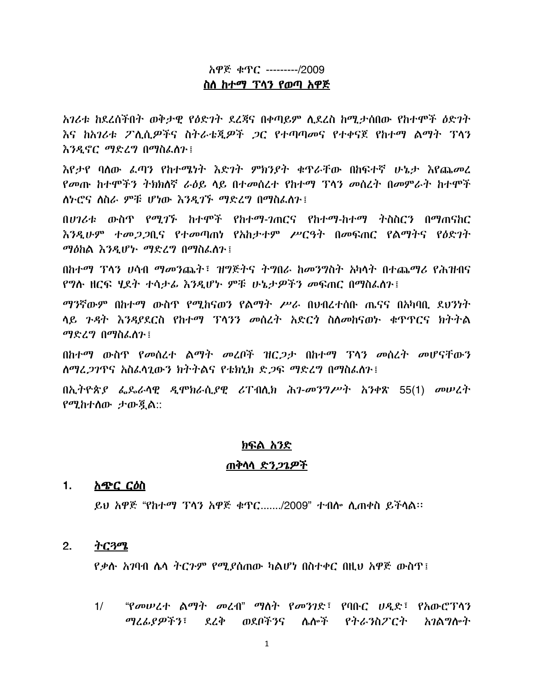# አዋጅ ቁጥር --------/2009

### ስስ ከተማ ፕላን የወጣ አዋጅ

አገሪቱ ከደረሰችበት ወቅታዊ የዕድገት ደረጃና በቀጣይም ሲደረስ ከሚታሰበው የከተሞች ዕድገት እና ከአገሪቱ ፖሊሲ*ዎ*ችና ስትራቴጂዎች *ጋ*ር የተጣጣመና የተቀናጀ የከተማ ልማት ፕላን እንዲኖር ማድረግ በማስፌስጉ፤

እየታየ ባለው ፌጣን የከተሜነት እድገት ምክንያት ቁጥራቸው በከፍተኛ ሁኔታ እየጨመረ የመጡ ከተሞችን ትክክለኛ ራዕይ ላይ በተመሰረተ የከተማ ፕላን መሰረት በመምራት ከተሞች ለኮሮና ለስራ ምቹ ሆነው እንዲገኙ ማድረግ በማስፌስጉ፤

በሀገሪቱ ውስጥ የሚገኙ ከተሞች የከተማ-ገጠርና የከተማ-ከተማ ትስስርን በማጠናከር *እንዲሁም ተመጋጋ*ቢና የተመጣጠነ የአከታተም ሥርዓት በመፍጠር የልማትና የዕድገት ማዕከል እንዲሆኑ ማድረግ በማስፌስን ፤

በከተማ ፕላን ሀሳብ ማመንጨት፣ ዝግጅትና ትግበራ ከመንግስት አካላት በተጨማሪ የሕዝብና <u>የግሉ ዘርፍ ሂደት ተሳታፊ እንዲሆኑ ምቹ ሁኔታዎችን መፍጠር በማስፌስን፤</u>

*ማን*ኛውም በክተማ ውስጥ የማክናወን የልማት *ሥራ* በህብረተሰቡ ጤናና በአካባበ ደህንነት ሳይ ንዳት እንዳያደርስ የከተማ ፕላንን መሰረት አድርጎ ስለመከናወኮ ቁጥጥርና ክትትል ማድረግ በማስፈስጉ፤

በከተማ ውስጥ የመሰረተ ልማት መረቦች ዝር*ጋታ* በከተማ ፕላን መሰረት መሆናቸውን ለማረ*ጋገ*ጥና አስፌሳጊውን ክትትልና የቴክኒክ ድ*ጋ*ፍ ማድረግ በማስፌስጉ፤

በኢትዮጵያ ፌጼራሳዊ ዲሞክራሲያዊ ሪፐብሲክ ሕገ-መንግሥት አንቀጽ 55(1) መሠረት የሚከተስው ታውጃል::

### <u>ክፍል አንድ</u>

### <u>ጠቅሳሳ ድን*ጋጌዎች*</u>

#### $1.$ አጭር ርዕስ

ይህ አዋጅ "የከተማ ፕላን አዋጅ ቁጥር......./2009" ተብሎ ሲጠቀስ ይችሳል፡፡

#### $2.$ ትርጓሜ

*የቃ*ሱ *አገ*ባብ ሴሳ ትርጉም የሚያሰጠው ካልሆነ በስተቀር በዚህ አዋጅ ውስጥ፤

"የመሠረተ ልማት መረብ" ማስት የመንገድ፣ የባቡር ሀዲድ፣ የአውሮፕላን  $1/$ *ጣሪፊያዎችን*፣ ደረቅ ወደቦችንና ሌሎች የትራንስፖርተ አ*ገ*ልግሎት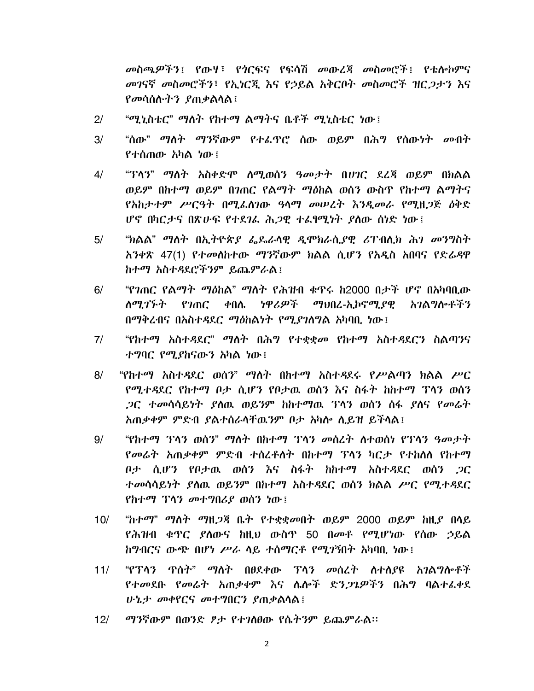መስጫዎችን፤ የውሃ፣ የጎርፍና የፍሳሽ መውረጃ መስመሮች፤ የቴሎኮምና *መገ*ናኛ መስመሮችን፣ የኢነርጂ እና የኃይል አቅርቦት መስመሮች ዝር*ጋ*ታን እና *የመ*ሳሰሱ*ትን ያ*ጠቃልሳል፤

- $2/$ "ሚኒስቴር" ማሰት የከተማ ልማትና ቤቶች ሚኒስቴር ነው፤
- "ሰው" ማስት ማንኛውም የተፌዋሮ ሰው ወይም በሕግ የሰውነት መብት  $3/$ የተሰጠው አካል ነው፤
- "ፐሳን" ማስት አስቀድሞ ስሚወሰን ዓመታት በሀገር ደረጃ ወይም በክልል  $4/$ ወይም በከተማ ወይም በገጠር የልማት ማዕከል ወሰን ውስጥ የከተማ ልማትና የአከታተም ሥርዓት በሚፌስገው ዓላማ መሠረት እንዲመራ የሚዘጋጅ ዕቅድ ሆኖ በካርታና በጽሁፍ የተደገሬ ሕ*ጋ*ዊ ተሬፃሚነት ያስው ሰነድ ነው፤
- $5/$ "ክልል" ማስት በኢትዮጵ*ያ ፌ*ጼራሳዊ ዲሞክራሲያዊ ሪፐብሊክ ሕ*ገ መንግ*ስት አንቀጽ 47(1) የተመለከተው ማንኛውም ክልል ሲሆን የአዲስ አበባና የድሬዳዋ ከተማ አስተዳደሮችንም ይጨምራል፤
- "የንጠር የልማት ማዕከል" ማስት የሕዝብ ቁጥሩ ከ2000 በታች ሆኖ በአካባቢው  $6/$ ነዋሪዎች ለማ*ገኙት የገ*ጠር ቀበሌ *ማህ*በረ-ኢኮኖሚ*ያ*ዊ አንልማሎቶችን በማቅረብና በአስተዳደር ማዕከልነት የሚያገለግል አካባቢ ነው፤
- "የከተማ አስተዳደር" ማስት በሕግ የተቋቋመ የከተማ አስተዳደርን ስልጣንና  $7/$ ተግባር የሚያከናውን አካል ነው፤
- "የከተማ አስተዳደር ወሰን" ማስት በከተማ አስተዳደሩ የሥልጣን ክልል ሥር  $8/$ የሚተዳደር የከተማ ቦታ ሲሆን የቦታዉ ወሰን እና ስፋት ከከተማ ፕላን ወሰን *ጋ*ር ተመሳሳይነት ያለዉ ወይንም ከከተማዉ ፕላን ወሰን ስፋ ያለና የመራት አጠቃቀም ምድብ ያልተሰራሳቸዉንም ቦታ አካሎ ሲይዝ ይችሳል፤
- "የከተማ ፕላን ወሰን" ማለት በከተማ ፕላን መሰረት ለተወሰነ የፕላን ዓመታት  $9/$ የመራት አጠቃቀም ምድብ ተሰረቶለት በከተማ ፕላን ካርታ የተከለለ የከተማ ቦታ ሲሆን የቦታዉ ወሰን እና ስፋት ከከተማ አስተዳደር ወሰን *ጋ*ር ተመሳሳይነት ያስዉ ወይንም በከተማ አስተዳደር ወሰን ክልል ሥር የሚተዳደር የከተማ ፕላን መተግበሪያ ወሰን ነው !
- "ከተማ" ማስት ማዘ*ጋ*ጃ ቤት የተቋቋመበት ወይም 2000 ወይም ከዚ*ያ* በሳይ  $10/$ የሕዝብ ቁዋር ያለውና ከዚህ ውስዋ 50 በመቶ የሚሆነው የሰው ኃይል *ከግ*ብርና ውጭ በሆነ ሥራ ላይ ተሰማርቶ የሚ*ገ*ኝበት አካባቢ ነው፤
- "የፕላን ጥሰት" ማስት በፀደቀው ፕላን መሰረት ስተሰያዩ አገልግሎቶች  $11/$ የተመደቡ የመራት አጠቃቀም እና ሴሎች ድን*ጋጌዎችን* በሕግ ባልተፈቀደ ሁኔታ መቀየርና መተግበርን ያጠቃልሳል !
- ማንኛውም በወንድ ፆታ የተገለፀው የሴትንም ይጨምራል።  $12/$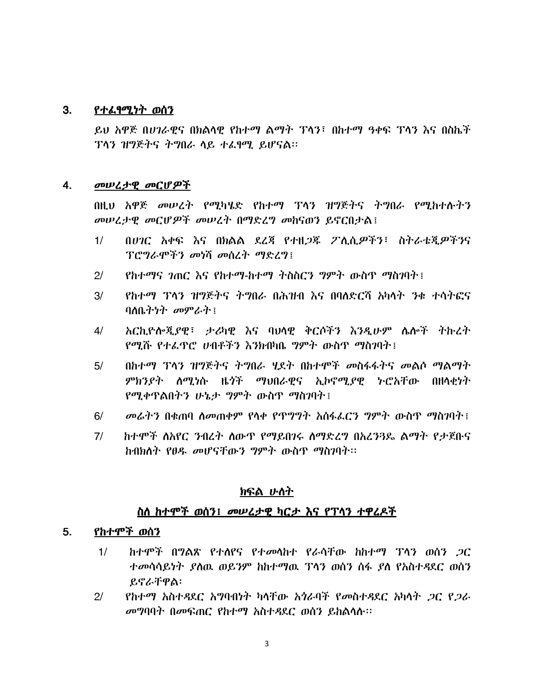#### 3. <u>የተልፃሚነት ወሰን</u>

ይህ አዋጅ በሀገራዊና በክልሳዊ የከተማ ልማት ፕላን፣ በከተማ ዓቀፍ ፕላን እና በስኬች ፕላን ዝግጅትና ትግበራ ላይ ተፈፃሚ ይሆናል፡፡

#### 4. መሠረታዊ መርሆዎች

በዚህ አዋጅ መሠረት የሚካሄድ የከተማ ፕላን ዝግጅትና ትግበራ የሚከተሉትን መሠረታዊ መርሆዎች መሠረት በማድረግ መከናወን ይኖርበታል፤

- በሀገር አቀፍ እና በክልል ደረጃ የተዘጋጁ ፖሊሲዎችን፣ ስትራቴጂዎችንና  $1/$ ፕሮግራሞችን መነሻ መሰረት ማድረግ፤
- $2<sup>1</sup>$ *የከተማና ገ*ጠር እና የከተማ-ከተማ ትስስርን *ግ*ምት ውስጥ ማስገባት፤
- $3/$ የከተማ ፕላን ዝግጅትና ትግበራ በሕዝብ እና በባለድርሻ አካላት ንቁ ተሳትፎና ባስቤትነት መምራት $\colon$
- $4/$ አርኪዮሎጂያዊ፣ ታሪካዊ እና ባህሳዊ ቅርሶችን እንዲሁም ሴሎች ትኩረት የሚሹ የተፌዋሮ ሀብቶችን እንክብካቤ ግምት ውስጥ ማስገባት፤
- በከተማ ፕላን ዝግጅትና ትግበራ ሃደት በከተሞች መስፋፋትና መልሶ ማልማት  $5/$ *ምክንያት ለሚነ*ሱ ዜ*ጎች ማህ*በራዊና ኢኮኖሚ*ያ*ዊ ৮ሮአቸው በዘላቂነት *የሚቀ*ጥልበትን ሁኔታ *ግ*ምት ውስጥ ማስገባት፤
- መሬትን በቁጠባ ስመጠቀም የላቀ የጥግግት አሰፋፌርን ግምት ውስጥ ማስገባት !  $6/$
- ከተሞች ለአየር ንብረተ ለውጥ የማይበገሩ ለማድረግ በአረን3ዴ ልማት የታጀቡና  $7/$ ከብክለት የፀዱ መሆናቸውን ግምት ውስጥ ማስገባት፡፡

### <u>ክፍል ሁስት</u>

### ስስ ከተሞች ወሰን፤ መሠረታዊ ካርታ እና የፕሳን ተዋረዶች

#### $5.$ <u>የከተሞች ወሰን</u>

- $1/$ <u>ከተሞች በግልጽ የተለየና የተመሳከተ የራሳቸው ከከተማ ፕላን ወሰን *ጋ*ር</u> ተመሳሳይነት ያስዉ ወይንም ከከተማዉ ፕላን ወሰን ስፋ ያስ የአስተዳደር ወሰን ይኖራቸዋል፡
- <u>የከተማ አስተዳደር አግባብነት ካሳቸው አጎራባች የመስተዳደር አካሳት *ጋ*ር የ*ጋ*ራ</u>  $2/$ መግባባት በመፍጠር የከተማ አስተዳደር ወሰን ይከልሳሉ፡፡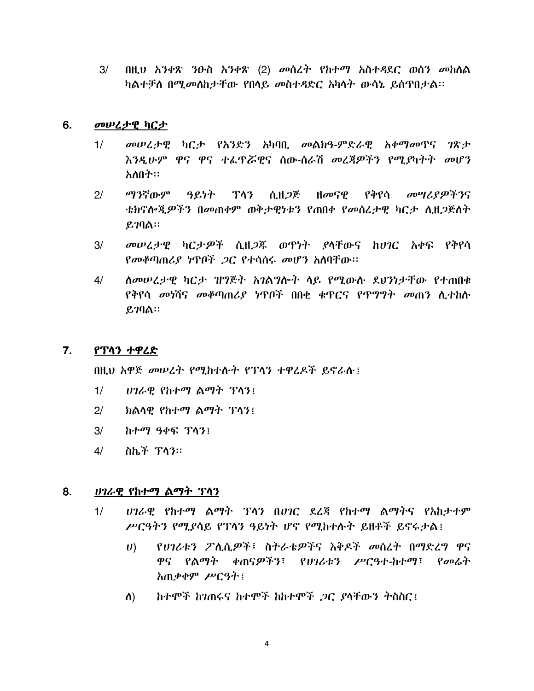$3/$  በዚህ አንቀጽ ንዑስ አንቀጽ (2) መሰረት የከተማ አስተዳደር ወሰን መከለል ካልተቻለ በሚመለከታቸው የበሳይ መስተዳድር አካሳት ውሳኔ ይሰጥበታል፡፡

### 6. መሠረታዊ ካርታ

- $1/$  መሠረታዊ ካርታ የአንድን አካባቢ መልክዓ-ምድራዊ አቀማመጥና ገጽታ እንዲሁም ዋና ዋና ተፌዋሯዊና ሰው-ሰራሽ *መ*ረጃዎችን የሚያካትት *መ*ሆን-አለበት።
- $2/$  ማንኛውም ዓይነት ፕላን ሲዘ*ጋ*ጅ ዘመናዊ የቅየሳ መሣሪያዎችንና ቴክኖሎጂዎችን በመጠቀም ወቅታዊነቱን የጠበቀ የመሰረታዊ ካርታ ሲዘጋጅስተ  $g_7$ ባል።
- $3/$  መሠረታዊ ካርታዎች ሲዘ*ጋ*ጁ ወጥነት ያላቸውና ከሀገር አቀፍ የቅየሳ የመቆጣጠሪያ ነጥቦች .ጋር የተሳሰሩ መሆን አለባቸው፡፡
- 4/ ሰመሠረታዊ ካርታ ዝግጅት አገልግሎት ላይ የሚውሱ ደህንነታቸው የተጠበቁ የቅየሳ *መነ*ሻና መቆጣጠሪያ ነዋቦች በበቂ ቁዋርና የጥግግት መጠን ሲተከሱ  $g_2$ ባል።

### 7. <u>የፕሳን ተዋረድ</u>

በዚህ አዋጅ መሠረት የሚከተሱት የፕሳን ተዋረዶች ይኖራሱ፤

- 1/ *ሀገራዊ የከተማ ልማት ፕላን***!**
- $2/$  ክልላዋ የከተማ ልማት ፕላን፤
- $3/$   $h$  $+$  $a$  $y$  $a$  $b$  $a$  $s$  $s$  $t$  $s$  $t$  $s$  $t$
- 4/ ስኬች **ፕላ**ን።

### 8. *ሀገራዊ የከተማ ልማት ፕላን*

- 1/ Q3# 9 Q & 9 ' "\* ሥርዓትን የሚያሳይ የፕላን ዓይነት ሆኖ የሚከተሱት ይዘቶች ይኖሩታል፤
	- *ሀ*) የሀገሪቱን ፖሊሲዎች፣ ስትራቴዎችና እቅዶች መሰረት በማድረግ ዋና ዋና የልማት ቀጠናዎችን፣ የሀገሪቱን ሥርዓተ-ከተማ፣ የመሬት አጠቃቀም ሥርዓት !
	- ለ) ከተሞች ከገጠሩና ከተሞች ከከተሞች *ጋ*ር *ያ*ላቸውን ትስስር ፡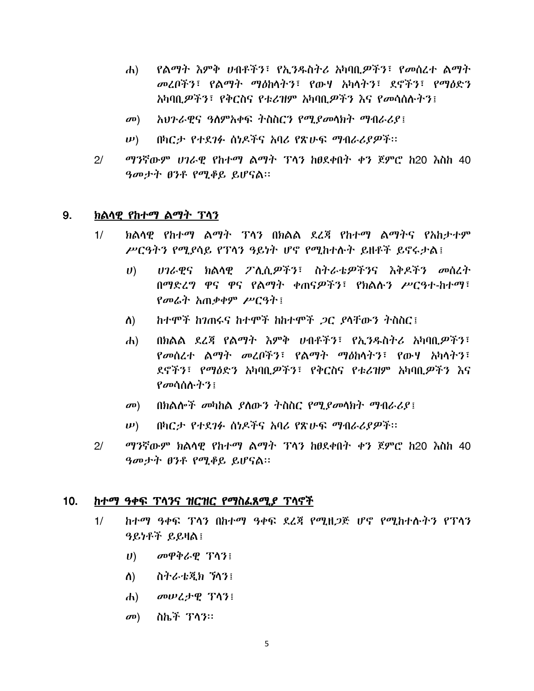- የልማት እምቅ ሀብቶችን፤ የኢንዱስትሪ አካባቢዎችን፤ የመሰረተ ልማት  $\mathbf{d}$ መረበችን፣ የልማት ማስከላትን፣ የውሃ አካላትን፣ ደኖችን፣ የማዕድን አካባቢ*ዎችን*፣ የቅርስና የቱሪዝም አካባቢ*ዎችን እ*ና የመሳሰሉትን፤
- አህንራዊና ዓለምአቀፍ ትስስርን የሚያመላክት ማብራሪያ፤  $\mathbf{\sigma}$ <sup> $\mathbf{D}$ </sup>
- በካርታ የተደገፉ ሰነዶችና አባሪ የጽሁፍ ማብራሪያዎች፡፡  $\n \boldsymbol{\nu}$ )
- ማንኛውም ሀገራዊ የከተማ ልማት ፕላን ከፀደቀበት ቀን ጀምሮ ከ20 እስከ 40  $2<sup>1</sup>$ ዓመታት ፀንቶ የሚቆይ ይሆናል።

#### 9. ክልሳዊ የከተማ ልማት ፕሳን

- $1/$ ክልሳዊ የከተማ ልማት ፕሳን በክልል ደረጃ የከተማ ልማትና የአከታተም ሥርዓትን የሚያሳይ የፕሳን ዓይነት ሆኖ የሚከተሱት ይዘቶች ይኖሩታል፤
	- ሀገራዊና ክልሳዊ ፖሲሲዎችን፣ ስትራቴዎችንና እቅዶችን መሰረት  $\boldsymbol{U}$ በማድረግ ዋና ዋና የልማት ቀጠናዎችን፣ የክልሉን ሥርዓተ-ከተማ፣ የመሬት አጠቃቀም ሥርዓት፤
	- ከተሞች ከንጠሩና ከተሞች ከከተሞች *ጋ*ር ያላቸውን ትስስር፤ ስ)
	- በክልል ደረጃ የልማት እምቅ ሀብቶችን፣ የኢንዱስትሪ አካባቢዎችን፣  $\mathbf{d}$ የመሰረተ ልማት መረቦችን፣ የልማት ማዕከላትን፣ የውሃ አካላትን፣ ደኖችን፣ የማዕድን አካባቢዎችን፣ የቅርስና የቱሪዝም አካባቢዎችን እና  $\mathcal{P}$ መሳሰሱ ትን $\mathcal{P}$
	- በክልሎች መካከል ያለውን ትስስር የሚያመላክት ማብራሪያ፤  $\mathbf{D}$
	- በካርታ የተደገፉ ሰነዶችና አባሪ የጽሁፍ ማብራሪያዎች፡፡  $(\boldsymbol{\nu})$
- $2/$ *ማን*ኛውም ክልሳዊ የከተማ ልማት ፕላን ከፀደቀበት ቀን ጀምሮ ከ20 እስከ 40 ዓመታት ፀንቶ የሚቆይ ይሆናል።

#### $10.$ ከተማ ዓቀፍ ፕላንና ዝርዝር የማስፌጸሚያ ፕላኖች

- ከተማ ዓቀፍ ፕላን በከተማ ዓቀፍ ደረጃ የሚዘጋጅ ሆኖ የሚከተሱትን የፕላን  $1/$ ዓይነቶች ይይዛል
	- $U$ ) *σ*<sup>ρφ</sup>*δ* ε Τή ε
	- ለ) ሰትራቴጂክ ኘሳን፤
	- $\mathbf{d}$ መሠረታዊ ፕሳን፤
	- ስኬች ፕላን።  $\mathbf{D}$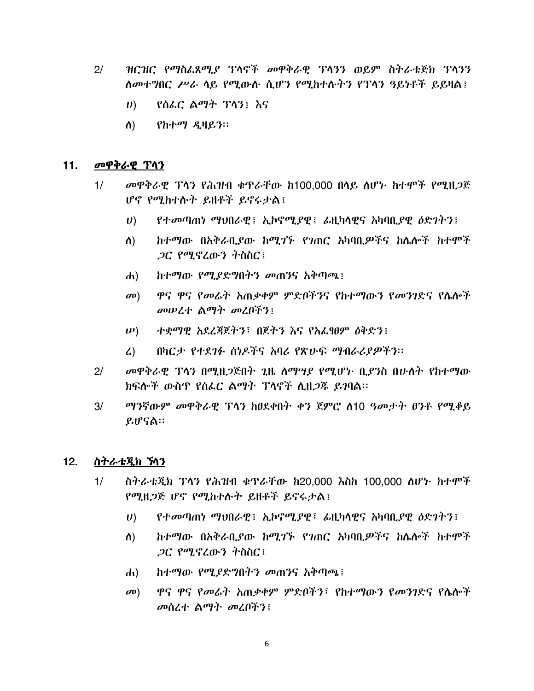- $2/$ ዝርዝር የማስፌጸሚያ ፕላኖች መዋቅራዊ ፕላንን ወይም ስትራቴጅክ ፕላንን ለመተግበር ሥራ ላይ የሚውሉ ሲሆን የሚከተሉትን የፐላን ዓይነቶች ይይዛል፤
	- $\boldsymbol{U}$ የሰፌር ልማት ፕላን፤ እና
	- $\Lambda$ ) የከተማ ዲዛይን።

#### $11.$ መዋቅራዊ ፕላን

- መዋቅራዊ ፕላን የሕዝብ ቁጥራቸው ከ100,000 በሳይ ሰሆኑ ከተሞች የሚዘጋጅ  $1/$ ሆኖ የሚከተሱት ይዘቶች ይኖሩታል፤
	- የተመጣጠነ ማህበራዊ፤ ኢኮኖሚያዊ፤ ፊዚካላዊና አካባቢያዊ ዕድንትን፤  $\boldsymbol{U}$
	- ከተማው በአቅራቢያው ከሚገኙ የገጠር አካባቢዎችና ከሌሎች ከተሞች ስ) *ጋ*ር የሚኖረውን ትስስር፤
	- ከተማው የሚያድግበትን መጠንና አቅጣጫ፤  $\left| d \right|$
	- ዋና ዋና የመሬት አጠቃቀም ምድቦችንና የከተማውን የመንገድና የሴሎች  $\mathbf{C}(\mathbf{D})$ መሠረተ ልማት መረበችን፤
	- $(\boldsymbol{\nu})$ ተቋማዊ አደረጃጀትን፣ በጀትን እና የአፌፃፀም ዕቅድን፤
	- በካርታ የተደገፉ ሰነዶችና አባሪ የጽሁፍ ማብራሪያዎችን።  $\mathcal{L}$
- መዋቅራዊ ፕላን በሚዘጋጅበት ጊዜ ስማሣያ የሚሆኑ ቢያንስ በሁለት የከተማው  $2<sup>1</sup>$ ክፍሎች ውስጥ የሰፌር ልማት ፕላኖች ሲዘ*ጋ*ጁ ይገባል፡፡
- $3/$ ማንኛውም መዋቅራዊ ፕላን ከፀደቀበት ቀን ጀምሮ ሰ10 ዓመታት ፀንቶ የሚቆይ ይሆናል።

#### $12.$ ስትራቴጂክ ኻን

- ስትራቴጂክ ፕላን የሕዝብ ቁዋራቸው ከ20,000 እስከ 100,000 ሰሆኑ ከተሞች  $1/$ የሚዘ*ጋ*ጅ ሆኖ የሚከተሱት ይዘቶች ይኖሩታል፤
	- $\boldsymbol{U}$ የተመጣጠነ ማህበራዊ፤ ኢኮኖሚያዊ፣ ፊዚካሳዊና አካባቢያዊ ዕድገትን፤
	- $\Lambda$ ) ከተማው በአቅራቢያው ከሚገኙ የገጠር አካባቢዎችና ከሌሎች ከተሞች *ጋር የሚኖረ*ውን ትስስር፤
	- ከተማው የሚያድግበትን መጠንና አቅጣጫ፤  $\left| d \right|$
	- $\sigma$ <sup>0</sup>) ዋና ዋና የመሬት አጠቃቀም ምድቦችን፣ የከተማውን የመንገድና የሴሎች መሰረተ ልማት መረቦችን፤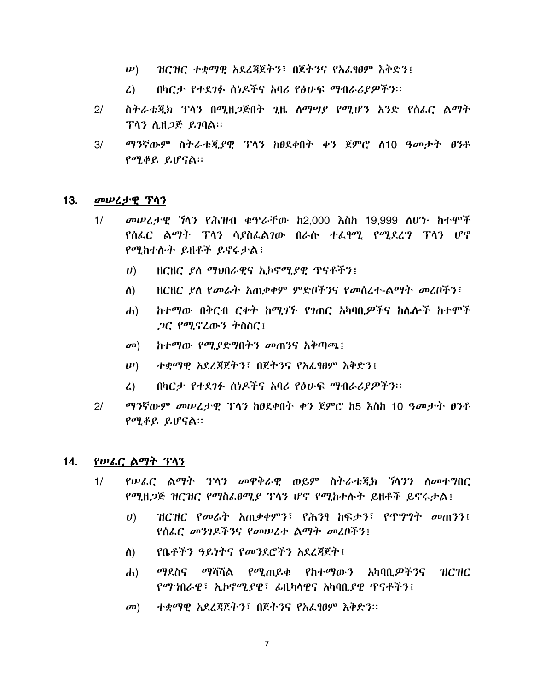- ዝርዝር ተቋማዊ አደረጃጀትን፣ በጀትንና የአፌፃፀም እቅድን፤  $(\boldsymbol{\nu})$
- በካርታ የተደገፉ ሰነዶችና አባሪ የፅሁፍ ማብራሪያዎችን፡፡  $\mathcal{L}$ )
- ስትራቴጂክ ፕላን በሚዘጋጅበት ጊዜ ሰማሣይ የሚሆን አንድ የሰፌር ልማት  $2/$ ፕላን ሊዘ*ጋ*ጅ ይገባል።
- $3/$ ማንኛውም ስትራቴጂያዊ ፕላን ከፀደቀበት ቀን ጀምሮ ሰ10 ዓመታት ፀንቶ  $P^{\sigma}P_{\sigma}P_{\sigma}P_{\sigma}P_{\sigma}P_{\sigma}P_{\sigma}P_{\sigma}$

#### $13.$ መሠረታዊ ፕሳን

- $1/$ መሠረታዊ ኻንን የሕዝብ ቁጥራቸው ከ2,000 እስከ 19,999 ሰሆኑ ከተሞች የሰፌር ልማት ፕላን ሳያስፌልገው በራሱ ተፌፃሚ የሚደረግ ፕላን ሆኖ የሚከተሱት ይዘቶች ይኖሩታል!
	- ዘርዘር ያለ ማህበራዊና ኢኮኖሚያዊ ጥናቶችን፤  $\boldsymbol{U}$
	- HCHC ያለ የመሬት አጠቃቀም ምድቦችንና የመሰረተ-ልማት መረቦችን፤ ስ)
	- ከተማው በቅርብ ርቀት ከሚገኙ የገጠር አካባቢዎችና ከሌሎች ከተሞች  $\mathbf{d}$ *ጋር የሚኖረ*ውን ትስስር፤
	- ከተማው የሚያድግበትን መጠንና አቅጣጫ፤  $\mathbf{D}$
	- ተቋማዋ አደረጃጀትን፣ በጀትንና የአፈፃፀም እቅድን፤  $(\boldsymbol{\mu})$
	- በካርታ የተደገፉ ሰነዶችና አባሪ የፅሁፍ ማብራሪያዎችን።  $\mathcal{L}$
- $2/$ *ማን*ኛውም መሠረታዊ ፕላን ከፀደቀበት ቀን ጀምሮ ከ5 እስከ 10 ዓመታት ፀንቶ  $P^{\sigma}P_{\sigma}P_{\sigma}P_{\sigma}$  .  $P^{\sigma}P_{\sigma}P_{\sigma}P_{\sigma}P_{\sigma}P_{\sigma}$

#### $14.$ የሠራር ልማት ፕላን

- የሠፌር ልማት ፕላን መዋቅራዊ ወይም ስትራቴጂክ ኻላንን ለመተግበር  $1/$ የሚዘ*ጋ*ጅ ዝርዝር የማስፌፀሚያ ፕላን ሆኖ የሚከተሱት ይዘቶች ይኖሩታል፤
	- $\boldsymbol{U}$ ዝርዝር የመሬት አጠቃቀምን፣ የሕንፃ ከፍታን፣ የጥግግት መጠንን፤ የሰፌር መንገዶችንና የመሠረተ ልማት መረቦችን፤
	- የቤቶችን ዓይነትና የመንደሮችን አደረጃጀት !  $\Lambda$
	- *ማ*ደስና ማሻሻል የሚጠይቁ የከተማውን አካባቢ*ዎችን*ና  $\mathbf{d}$ НСНС የማኀበራዊ፣ ኢኮኖሚያዊ፣ ፊዚካላዊና አካባቢያዊ ጥናቶችን፤
	- ተቋማዊ አደረጃጀትን፣ በጀትንና የአፌፃፀም እቅድን።  $\sigma$ <sup>o</sup>)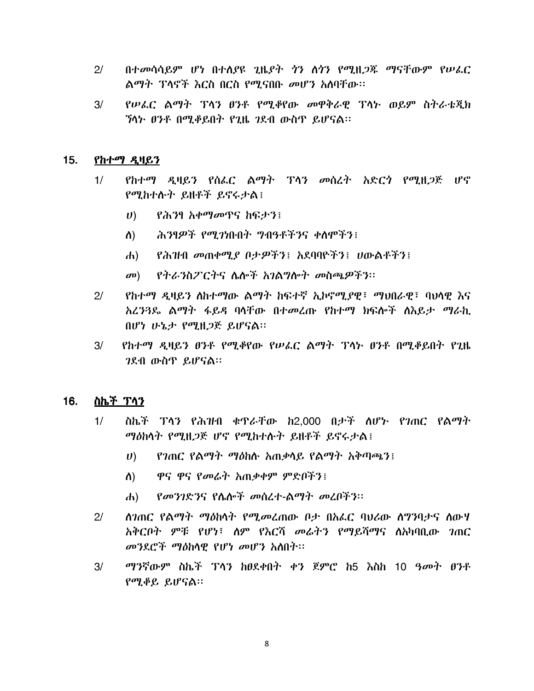- $2<sup>1</sup>$ በተመሳሳይም ሆነ በተሰያዩ ጊዜያት *ጎን* ለጎን የሚዘ*ጋ*ጃ ማናቸውም የሠራር ልማት ፕላኖች እርስ በርስ የሚናበቡ መሆን አለባቸው፡፡
- $3/$ የሠራር ልማት ፕላን ፀንቶ የሚቆየው መዋቅራዊ ፕላኮ ወይም ስትራቴጂክ ኘሳኑ ፀንቶ በሚቆይበት የጊዜ ገደብ ውስጥ ይሆናል።

#### $15.$ የከተማ ዲዛይን

- የከተማ ዲዛይን የሰፌር ልማት ፕላን መሰረት አድርጎ የሚዘ*ጋ*ጅ ሆኖ  $1/$ የሚከተሱት ይዘቶች ይኖሩታል፤
	- $\boldsymbol{U}$ *የሕን*ፃ *አቀማመ*ዋና ከፍታን፤
	- ሕንፃዎች የሚጋነቡበት ግብዓቶችንና ቀስሞችን፤  $\Lambda$ )
	- የሕዝብ መጠቀሚያ ቦታዎችን፤ አደባባዮችን፤ ሀውልቶችን፤  $\mathbf{d}$
	- መ) የትራንስፖርትና ሌሎች አንልግሎት መስጫዎችን።
- *የከተማ ዲዛይን ለከተማ*ው ልማት ከፍተኛ ኢኮኖሚያዊ፣ ማህበራዊ፣ ባህሳዊ እና  $2<sup>1</sup>$ አረንጓዴ ልማት ፋይዳ ባላቸው በተመረጡ የከተማ ክፍሎች ሰእይታ ማራኪ በሆነ ሁኔታ የሚዘጋጅ ይሆናል።
- የከተማ ዲዛይን ፀንቶ የሚቆየው የሠፌር ልማት ፕላኑ ፀንቶ በሚቆይበት የጊዜ  $3/$ *ገ*ደብ ውስጥ ይሆናል።

#### 16. <u>ስኬች ፕላን</u>

- ስኬች ፕላን የሕዝብ ቁዋራቸው ከ2.000 በታች ለሆኑ የገጠር የልማት  $1/$ ማዕከሳት የሚዘጋጅ ሆኖ የሚከተሱት ይዘቶች ይኖሩታል፤
	- የገጠር የልማት ማዕከሱ አጠቃላይ የልማት አቅጣጫን፤  $\boldsymbol{U}$
	- ዋና ዋና የመሬት አጠቃቀም ምድበችን፤  $\Lambda$ )
	- *የመንገ*ድንና የሴሎች መሰረተ-ልማት መረቦችን፡፡  $\mathbf{d}$
- $2/$ *ስገ*ጠር የልማት ማዕከሳት የሚ*መ*ፈጠው ቦታ በአፌር ባህሪው ስግንባታና ስውሃ አቅርቦት ምቹ የሆነ፣ ስም የእርሻ መሬትን የማይሻማና ስአካባቢው *ገ*ጠር መንደሮች ማዕከላዊ የሆነ መሆን አለበት፡፡
- $3/$ ማንኛውም ስኬች ፕላን ከፀደቀበት ቀን ጀምሮ ከ5 እስከ 10 ዓመት ፀንቶ የሚቆይ ይሆናል።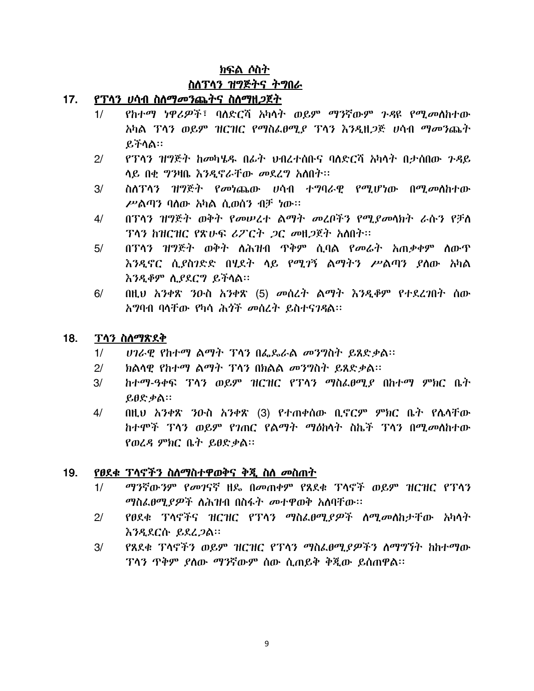### ክፍል ሶስት

### ስስፐሳን ዝግጅትና ትግበራ

### <u>17. የፕላን ሀሳብ ስለማመንጨትና ስለማዘ*ጋ*ጀት</u>

- 1/ የከተማ ነዋሪዎች፣ ባለድርሻ አካላት ወይም ማንኛውም ንዳዩ የሚመለከተው አካል ፕላን ወይም ዝርዝር የማስፌፀሚያ ፕላን እንዲዘ*ጋ*ጅ ሀሳብ ማመንጨት  $B$ ችሳል።
- $2/$  የፕላን ዝግጅት ከመካሄዱ በፊት ህብረተሰቡና ባለድርሻ አካላት በታሰበው ጉዳይ ሳይ በቂ ግንዛቤ እንዲኖራቸው መደረግ አስበት፡፡
- 3/ ስለፕላን ዝግጅት የመነጨው ሀሳብ ተግባራዊ የሚሆነው በሚመስከተው  $P^{\prime}$ ልጣን ባስው አካል ሲወሰን ብቻ ነው።
- 4/ በፕላን ዝግጅት ወቅት የመሠረተ ልማት መረቦችን የሚያመሳክት ራሱን የቻለ  $T$ ላን ከዝርዝር የጽሁፍ ሪፖርት ጋር መዘጋጀት አለበት፡፡
- 5/ በፕላን ዝግጅት ወቅት ለሕዝብ ዋቅም ሲባል የመሬት አጠቃቀም ሰውዋ እንዲኖር ሲያስገድድ በሂደት ላይ የሚገኝ ልማትን ሥልጣን ያለው አካል <u>እንዲቆም ሲያደርግ ይችላል።</u>
- 6/ በዚህ አንቀጽ ጋውስ አንቀጽ (5) *መ*ስረት ልማት እንዲቆም የተደረገበት ሰው አግባብ ባላቸው የካሳ ሕጎች መሰረት ይስተናንዳል፡፡

### 18. ፕላን ስለማጽደቅ

- $1/$   $1/2$   $6.9$   $2/3$   $2/3$   $1/3$   $1/3$   $1/3$   $2/3$   $6/3$   $6/3$   $7/3$  $1/3$   $1/3$   $2/3$   $2/3$  $2/3$
- $2/$  ክልሳዊ የከተማ ልማት ፕላን በክልል መንግስት ይጸድቃል፡፡
- $3/$  ከተማ-ዓቀፍ ፕላን ወይም ዝርዝር የፕላን ማስፌፀሚ $f$  በከተማ ምክር ቤት  $\mathfrak{g} \mathfrak{g} \mathfrak{g} \mathfrak{g}$ ል።
- $4/$  በዚህ አንቀጽ ንዑስ አንቀጽ (3) የተጠቀሰው ቢኖርም ምክር ቤት የሴሳቸው ከተሞች ፕላን ወይም የገጠር የልማት ማዕከላት ስኬች ፕላን በሚመለከተው  $P$ ወረዳ ምክር ቤት ይፀድቃል።

### <u>19. የፀደቁ ፕላኖችን ስለማስተዋወቅና ቅጂ ስለ መስጠት</u>

- $1/$   $-$  ማንኛውንም የመገናኛ ዘዴ በመጠቀም የጸደቁ ፕሳኖች ወይም ዝርዝር የፕሳን *ማስፌፀሚያዎች ስሕዝ*ብ በስፋት *መ*ተዋወቅ አሰባቸው።
- 2/ የፀደቁ ፕላኖችና ዝርዝር የፕላን ማስፌፀሚያዎች ለሚመለከታቸው አካላት <u>እንዲደርሱ ይደረጋል።</u>
- $3/$   $\phantom{1}$   $\phantom{1}$  የጸደቁ ፕላኖችን ወይም ዝርዝር የፕላን ማስፌፀሚያዎችን ለማግኘት ከከተማው <u>ፕላን ጥቅም ዖለው ማንኛውም ሰው ሲጠይቅ ቅጂው ይሰጠዋል።</u>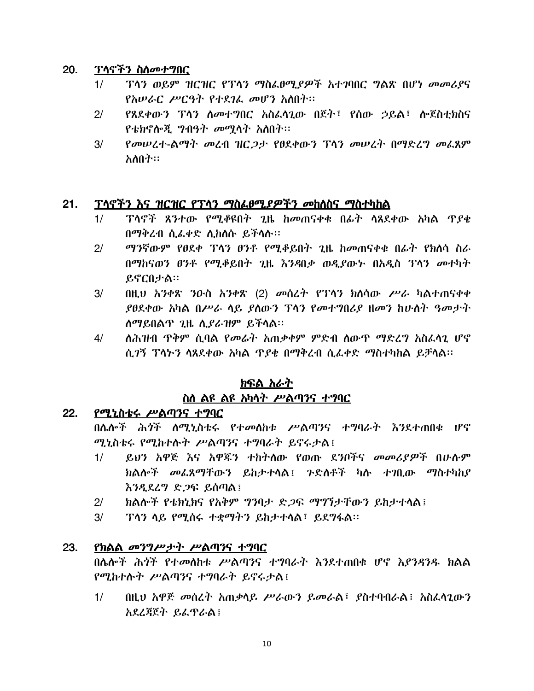### 20. ፕላኖችን ስለመተግበር

- $1/$   $1/$   $1/3$  ወይም ዝርዝር የፕላን ማስፌፀሚያዎች አተገባበር ግልጽ በሆነ መመሪያና  $\ell$ አሠራር ሥርዓት የተደጋፌ መሆን አስበት።
- $2/$  የጸደቀውን ፕሳን ስመተግበር አስፌሳጊው በጀት፣ የሰው ኃይል፣ ሎጀስቲክስና  $\ell$ ቴክኖሎጂ ግብዓት መማሳት አስበት፡፡
- $3/$  የመሠረተ-ልማት መረብ ዝር*ጋታ የፀ*ደቀውን ፕላን መሠረት በማድረግ መፌጸም አስበት።

### $21.$  ፕላኖችን እና ዝርዝር የፕላን ማስፌፀሚያዎችን መከለስና ማስተካከል

- $1/$  ፣ ንሳኖች ጸንተው የሚቆዩበት ጊዜ ከመጠናቀቁ በፊት ሳጸደቀው አካል ጥያቄ በማቅረብ ሲፌቀድ ሲከሰሱ ይችሳሱ።
- $2/$  *ወግን*ኛውም የፀደቀ ፕላን ፀንቶ የሚቆይበት ጊዜ ከመጠናቀቁ በፊት የክሰሳ ስራ በማከናወን ፀንቶ የሚቆይበት ጊዜ እንዳበቃ ወዲያውኑ በአዲስ ፕላን መተካት ይኖርበታል።
- $3/$  በዚህ አንቀጽ ንዑስ አንቀጽ (2) መሰረት የፓሳን ክለሳው ሥራ ካልተጠናቀቀ  $\ell$ ፀደቀው አካል በሥራ ሳይ  $\ell$ ሰውን ፕሳን የመተግበሪያ ዘመን ከሁለት ዓመታት ለማይበልጥ  $2$ ዜ ሲ $\ell$ ራዝም ይችላል።
- 4/ ሰሕዝብ ዋቅም ሲባል የመሬት አጠቃቀም ምድብ ሰውዋ ማድረግ አስፌሳጊ ሆኖ ሲ*ገ*ኝ ፕላትን ሳጸደቀው አካል ዋ*ያቂ* በማቅረብ ሲፈቀድ ማስተካከል ይቻሳል።

# <u>ክፍል አራት</u> <u>ስለ ልዩ ልዩ አካላት ሥልጣንና ተግባር</u>

### 22. የሚኒስቴሩ ሥልጣንና ተ*ግ*ባር

በሴሎች ሕ*ጎ*ች ስሚኒስቴሩ የተመሰከቱ ሥልጣንና ተግባራት እንደተጠበቁ ሆኖ ሚኒስቴሩ የሚከተሱት ሥልጣንና ተግባራት ይኖሩታል፤

- 1/ ይህን አዋጅ እና አዋጁን ተከትለው የወጡ ደንቦችና *መመሪያዎች* በሁሉም  $h$ ልሎች መፌጸማቸውን ይከታተሳል፤ ንድስቶች ካሉ ተገቢው ማስተካከያ  $\delta$ ?LLLY  $\mathcal{S}$  26  $\mathcal{C}$   $\mathcal{C}$   $\mathcal{C}$   $\mathcal{C}$   $\mathcal{C}$   $\mathcal{C}$   $\mathcal{C}$   $\mathcal{C}$   $\mathcal{C}$   $\mathcal{C}$   $\mathcal{C}$   $\mathcal{C}$   $\mathcal{C}$   $\mathcal{C}$   $\mathcal{C}$   $\mathcal{C}$   $\mathcal{C}$   $\mathcal{C}$   $\mathcal{C}$   $\mathcal{C}$   $\mathcal{C}$   $\mathcal{C}$
- $2/$  ከልሎች የቴክኒክና የአቅም ግንባታ ድ*ጋ*ፍ ማግኘታቸውን ይከታተላል፤
- $3/$  TA3 ሳይ የሚሰሩ ተቋማትን ይከታተላል፣ ይደግፋል፡፡

### 23. የክልል መንግሥታት ሥልጣንና ተግባር

በሌሎች ሕጎች የተመለከቱ ሥልጣንና ተግባራት እንደተጠበቁ ሆኖ እያንዳንዱ ክልል  $\ell$ ሚከተሱት ሥልጣንና ተግባራት ይኖሩታል፤

1/ \_ በዚህ አዋጅ መሰረት አጠቃሳይ ሥራውን ይመራል፣ ያስተባብራል፤ አስፌሳጊውን አደረጃጀት ይፌዋራል፤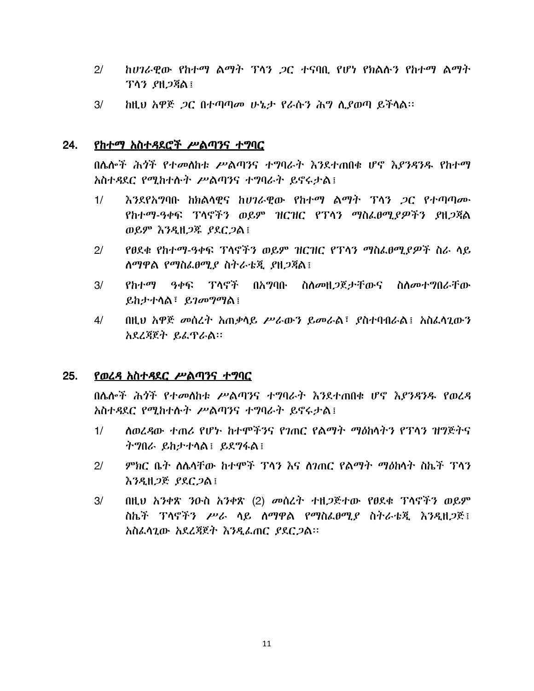- $2/$ *ከሀገራዊው የከተማ ልማት ፕላን ጋር ተና*ባቢ የሆነ የክልሱ*ን* የከተማ ልማት ፕላን ያዘጋጃል፤
- $3/$ ከዚህ አዋጅ *ጋ*ር በተጣጣመ ሁኔ*ታ የራ*ሱን ሕግ ሲያወጣ ይችሳል።

#### 24. <u>የከተማ አስተዳደሮች ሥልጣንና ተግባር</u>

በሌሎች ሕጎች የተመለከቱ ሥልጣንና ተግባራት እንደተጠበቁ ሆኖ እያንዳንዱ የከተማ አስተዳደር የሚከተሱት ሥልጣንና ተግባራት ይኖሩታል፤

- እንደየአግባቡ ከክልሳዊና ከሀገራዊው የከተማ ልማት ፕላን ጋር የተጣጣሙ  $1/$ የከተማ-ዓቀፍ ፕሳኖችን ወይም ዝርዝር የፕሳን ማስፌፀሚያዎችን ያዘጋጃል ወይም እንዲዘ*ጋ*ጁ ያደር*ጋ*ል!
- የፀደቁ የከተማ-ዓቀፍ ፕሳኖችን ወይም ዝርዝር የፕሳን ማስፌፀሚያዎች ስራ ሳይ  $2/$ ለማዋል የማስፌፀሚያ ስትራቴጂ ያዘጋጃል፤
- $3/$ የከተማ ዓቀፍ ፕላኖች በአግባቡ ስለመዘ*ጋ*ጀታቸውና ስለመተግበራቸው ይከታተሳል፣ ይገመግማል፤
- $4/$ በዚህ አዋጅ መስረት አጠቃሳይ ሥራውን ይመራል፣ ያስተባብራል፤ አስፈሳጊውን አደረጃጀት ይፌፕራል።

#### $25.$ የወረዳ አስተዳደር ሥልጣንና ተግባር

በሌሎች ሕሳች የተመለከቱ ሥልጣንና ተግባራት እንደተጠበቁ ሆኖ እያንዳንዱ የወረዳ አስተዳደር የሚከተሱት ሥልጣንና ተግባራት ይኖሩታል፤

- ለወረዳው ተጠሪ የሆኑ ከተሞችንና የጋጠር የልማት ማስከላትን የፕላን ዝግጅትና  $1/$ ትግበራ ይከታተሳል፤ ይደግፋል፤
- *ምክ*ር ቤት ስሌሳቸው ከተሞች ፕሳን እና ስገጠር የልማት ማዕከሳት ስኬች ፕሳን  $2/$ እንዲዘ*ጋ*ጅ *ያ*ደር*ጋ*ል፤
- በዚህ አንቀጽ ንዑስ አንቀጽ (2) መሰረት ተዘጋጅተው የፀደቁ ፕሳኖችን ወይም  $3/$ ስኬች ፕላኖችን ሥራ ሳይ ሰማዋል የማስፌፀሚያ ስትራቴጂ እንዲዘጋጅ፤ አስፌሳጊው አደረጃጀት እንዲፌጠር ያደርጋል።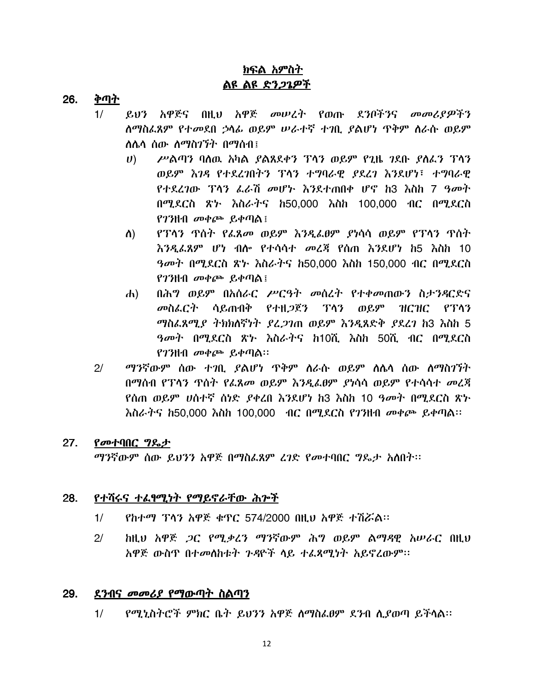## <u>ክፍል አምስት</u> ልዩ ልዩ ድን*ጋጌዎች*

- <u>ቅጣት</u> 26.
	- ይህን አዋጅና በዚህ አዋጅ መሠረት የወጡ ደንቦችንና መመሪያዎችን  $1/$ ሰማስፌጸም የተመደበ ኃሳፊ ወይም ሠራተኛ ተገቢ ያልሆነ ጥቅም ሰራሱ ወይም ለሌሳ ሰው ለማስገኘት በማሰብ፤
		- ሥልጣን ባለዉ አካል ያልጸደቀን ፕሳን ወይም የጊዜ ገደቡ ያለፌን ፕሳን  $\boldsymbol{U}$ ወይም እንዳ የተደረገበትን ፕላን ተግባራዊ ያደረገ እንደሆነ፣ ተግባራዊ የተደረገው ፕላን ፌራሽ መሆኑ እንደተጠበቀ ሆኖ ከ3 እስከ 7 ዓመት በሚደርስ ጽኑ እስራትና ከ50,000 እስከ 100,000 ብር በሚደርስ የገንዘብ መቀጮ ይቀጣል $\colon$
		- የፕላን ጥሰት የፌጸመ ወይም እንዲፌፀም ያነሳሳ ወይም የፕላን ጥሰት ስ) <u>እንዲራጸም ሆነ ብሎ የተሳሳተ መረጃ የሰጠ እንደሆነ ከ5 እስከ 10</u> *ዓመት* በሚደርስ ጽ*ኑ እስራት*ና ከ50,000 እስከ 150,000 ብር በሚደርስ የገንዘብ መቀጮ ይቀጣል፤
		- በሕግ ወይም በአሰራር ሥርዓት መሰረት የተቀመጠውን ስታንዳርድና  $\mathbf{d}$ መስፌርት ሳይጠብቅ የተዘጋጀን ፕላን ወይም  $HCHC$   $PTA3$ ማስፌጸሚያ ትክክለኛነት ያፈጋገጠ ወይም እንዲጸድቅ ያደረገ ከ3 እስከ 5 ዓመት በሚደርስ ጽ৮ እስራትና ከ10ሺ እስከ 50ሺ ብር በሚደርስ የገንዘብ መቀጮ ይቀጣል።
	- $2<sup>1</sup>$ ማንኛውም ሰው ተገቢ ያልሆነ ጥቅም ስራሱ ወይም ስሴሳ ሰው ስማስገኘት በማሰብ የፕላን ጥሰት የፌጸመ ወይም እንዲፌፀም ያነሳሳ ወይም የተሳሳተ መረጃ <u>የሰጠ ወይም ሀሰተኛ ሰነድ ያቀረበ እንደሆነ ከ3 እስከ 10 ዓመት በሚደርስ ጽኑ</u> እስራትና h50,000 እስከ 100,000 ብር በሚደርስ የገንዘብ መቀጮ ይቀጣል፡፡

#### $27.$ የመተባበር ግዴታ

ማንኛውም ሰው ይህንን አዋጅ በማስፌጸም ረንድ የመተባበር ግዴታ አስበት፡፡

#### 28. <u>የተሻሩና ተፈፃሚነት የማይኖራቸው ሕዮች</u>

- $1/$ የከተማ ፕላን አዋጅ ቁጥር 574/2000 በዚህ አዋጅ ተሽሯል።
- ከዚህ አዋጅ *ጋር የሚቃረን ማን*ኛውም ሕግ ወይም ልማዳዊ አሠራር በዚህ  $2/$ አዋጅ ውስጥ በተመስከቱት ጉዳዮች ሳይ ተፈጸሚነት አይኖረውም፡፡

#### 29. <u>ደንብና መመሪያ የማውጣት ስልጣን</u>

 $1/$ የሚኒስትሮች ምክር ቤት ይህንን አዋጅ ስማስፌፀም ደንብ ሲያወጣ ይችሳል፡፡